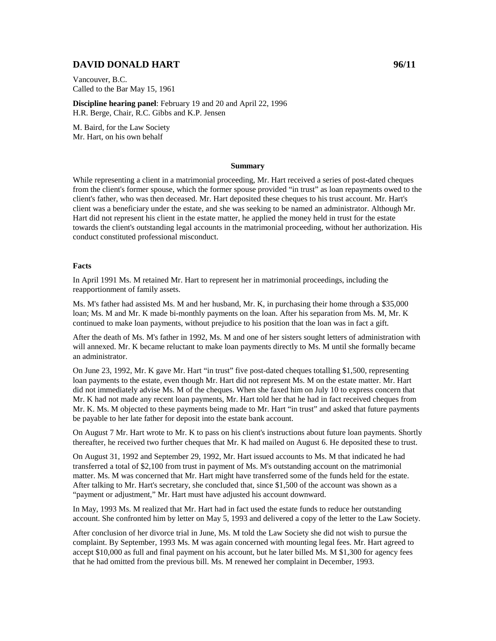# **DAVID DONALD HART** 96/11

Vancouver, B.C. Called to the Bar May 15, 1961

**Discipline hearing panel**: February 19 and 20 and April 22, 1996 H.R. Berge, Chair, R.C. Gibbs and K.P. Jensen

M. Baird, for the Law Society Mr. Hart, on his own behalf

#### **Summary**

While representing a client in a matrimonial proceeding, Mr. Hart received a series of post-dated cheques from the client's former spouse, which the former spouse provided "in trust" as loan repayments owed to the client's father, who was then deceased. Mr. Hart deposited these cheques to his trust account. Mr. Hart's client was a beneficiary under the estate, and she was seeking to be named an administrator. Although Mr. Hart did not represent his client in the estate matter, he applied the money held in trust for the estate towards the client's outstanding legal accounts in the matrimonial proceeding, without her authorization. His conduct constituted professional misconduct.

#### **Facts**

In April 1991 Ms. M retained Mr. Hart to represent her in matrimonial proceedings, including the reapportionment of family assets.

Ms. M's father had assisted Ms. M and her husband, Mr. K, in purchasing their home through a \$35,000 loan; Ms. M and Mr. K made bi-monthly payments on the loan. After his separation from Ms. M, Mr. K continued to make loan payments, without prejudice to his position that the loan was in fact a gift.

After the death of Ms. M's father in 1992, Ms. M and one of her sisters sought letters of administration with will annexed. Mr. K became reluctant to make loan payments directly to Ms. M until she formally became an administrator.

On June 23, 1992, Mr. K gave Mr. Hart "in trust" five post-dated cheques totalling \$1,500, representing loan payments to the estate, even though Mr. Hart did not represent Ms. M on the estate matter. Mr. Hart did not immediately advise Ms. M of the cheques. When she faxed him on July 10 to express concern that Mr. K had not made any recent loan payments, Mr. Hart told her that he had in fact received cheques from Mr. K. Ms. M objected to these payments being made to Mr. Hart "in trust" and asked that future payments be payable to her late father for deposit into the estate bank account.

On August 7 Mr. Hart wrote to Mr. K to pass on his client's instructions about future loan payments. Shortly thereafter, he received two further cheques that Mr. K had mailed on August 6. He deposited these to trust.

On August 31, 1992 and September 29, 1992, Mr. Hart issued accounts to Ms. M that indicated he had transferred a total of \$2,100 from trust in payment of Ms. M's outstanding account on the matrimonial matter. Ms. M was concerned that Mr. Hart might have transferred some of the funds held for the estate. After talking to Mr. Hart's secretary, she concluded that, since \$1,500 of the account was shown as a "payment or adjustment," Mr. Hart must have adjusted his account downward.

In May, 1993 Ms. M realized that Mr. Hart had in fact used the estate funds to reduce her outstanding account. She confronted him by letter on May 5, 1993 and delivered a copy of the letter to the Law Society.

After conclusion of her divorce trial in June, Ms. M told the Law Society she did not wish to pursue the complaint. By September, 1993 Ms. M was again concerned with mounting legal fees. Mr. Hart agreed to accept \$10,000 as full and final payment on his account, but he later billed Ms. M \$1,300 for agency fees that he had omitted from the previous bill. Ms. M renewed her complaint in December, 1993.